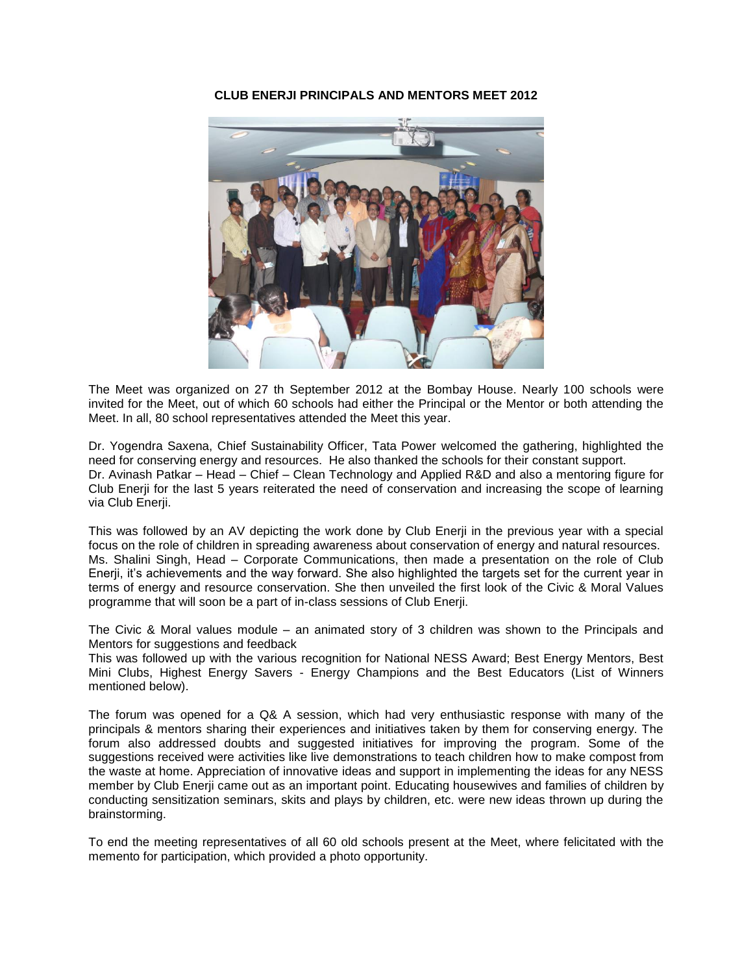#### **CLUB ENERJI PRINCIPALS AND MENTORS MEET 2012**



The Meet was organized on 27 th September 2012 at the Bombay House. Nearly 100 schools were invited for the Meet, out of which 60 schools had either the Principal or the Mentor or both attending the Meet. In all, 80 school representatives attended the Meet this year.

Dr. Yogendra Saxena, Chief Sustainability Officer, Tata Power welcomed the gathering, highlighted the need for conserving energy and resources. He also thanked the schools for their constant support. Dr. Avinash Patkar – Head – Chief – Clean Technology and Applied R&D and also a mentoring figure for Club Enerji for the last 5 years reiterated the need of conservation and increasing the scope of learning via Club Enerji.

This was followed by an AV depicting the work done by Club Enerji in the previous year with a special focus on the role of children in spreading awareness about conservation of energy and natural resources. Ms. Shalini Singh, Head – Corporate Communications, then made a presentation on the role of Club Enerji, it's achievements and the way forward. She also highlighted the targets set for the current year in terms of energy and resource conservation. She then unveiled the first look of the Civic & Moral Values programme that will soon be a part of in-class sessions of Club Enerji.

The Civic & Moral values module – an animated story of 3 children was shown to the Principals and Mentors for suggestions and feedback

This was followed up with the various recognition for National NESS Award; Best Energy Mentors, Best Mini Clubs, Highest Energy Savers - Energy Champions and the Best Educators (List of Winners mentioned below).

The forum was opened for a Q& A session, which had very enthusiastic response with many of the principals & mentors sharing their experiences and initiatives taken by them for conserving energy. The forum also addressed doubts and suggested initiatives for improving the program. Some of the suggestions received were activities like live demonstrations to teach children how to make compost from the waste at home. Appreciation of innovative ideas and support in implementing the ideas for any NESS member by Club Enerji came out as an important point. Educating housewives and families of children by conducting sensitization seminars, skits and plays by children, etc. were new ideas thrown up during the brainstorming.

To end the meeting representatives of all 60 old schools present at the Meet, where felicitated with the memento for participation, which provided a photo opportunity.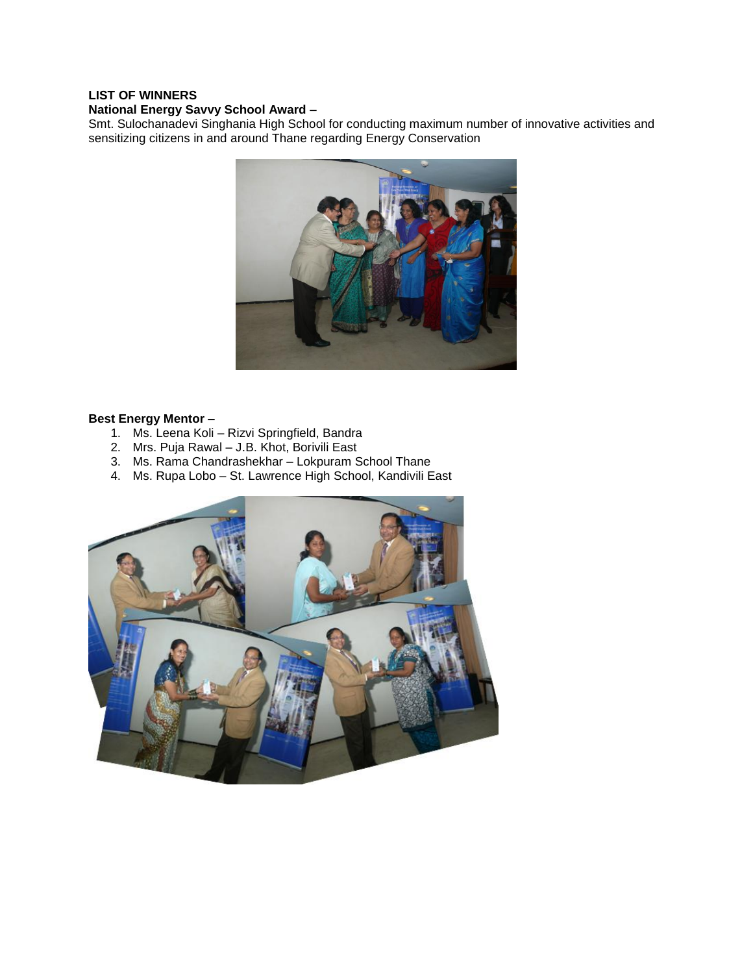### **LIST OF WINNERS**

#### **National Energy Savvy School Award –**

Smt. Sulochanadevi Singhania High School for conducting maximum number of innovative activities and sensitizing citizens in and around Thane regarding Energy Conservation



#### **Best Energy Mentor –**

- 1. Ms. Leena Koli Rizvi Springfield, Bandra
- 2. Mrs. Puja Rawal J.B. Khot, Borivili East
- 3. Ms. Rama Chandrashekhar Lokpuram School Thane
- 4. Ms. Rupa Lobo St. Lawrence High School, Kandivili East